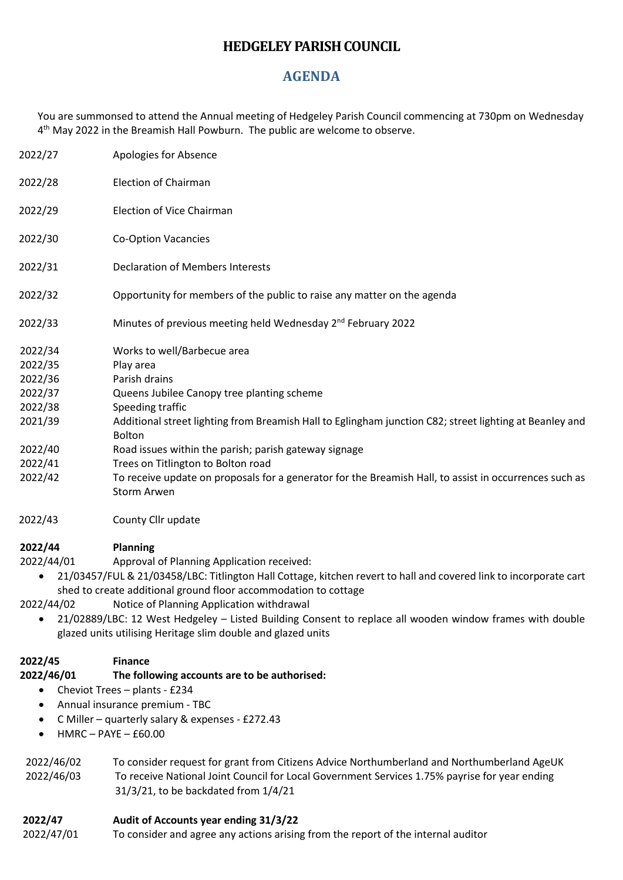# **HEDGELEY PARISH COUNCIL**

## **AGENDA**

You are summonsed to attend the Annual meeting of Hedgeley Parish Council commencing at 730pm on Wednesday 4<sup>th</sup> May 2022 in the Breamish Hall Powburn. The public are welcome to observe.

| 2022/27 | Apologies for Absence                                                                                                        |
|---------|------------------------------------------------------------------------------------------------------------------------------|
| 2022/28 | Election of Chairman                                                                                                         |
| 2022/29 | Election of Vice Chairman                                                                                                    |
| 2022/30 | <b>Co-Option Vacancies</b>                                                                                                   |
| 2022/31 | <b>Declaration of Members Interests</b>                                                                                      |
| 2022/32 | Opportunity for members of the public to raise any matter on the agenda                                                      |
| 2022/33 | Minutes of previous meeting held Wednesday 2 <sup>nd</sup> February 2022                                                     |
| 2022/34 | Works to well/Barbecue area                                                                                                  |
| 2022/35 | Play area                                                                                                                    |
| 2022/36 | Parish drains                                                                                                                |
| 2022/37 | Queens Jubilee Canopy tree planting scheme                                                                                   |
| 2022/38 | Speeding traffic                                                                                                             |
| 2021/39 | Additional street lighting from Breamish Hall to Eglingham junction C82; street lighting at Beanley and<br><b>Bolton</b>     |
| 2022/40 | Road issues within the parish; parish gateway signage                                                                        |
| 2022/41 | Trees on Titlington to Bolton road                                                                                           |
| 2022/42 | To receive update on proposals for a generator for the Breamish Hall, to assist in occurrences such as<br><b>Storm Arwen</b> |
|         |                                                                                                                              |

2022/43 County Cllr update

## **2022/44 Planning**

2022/44/01 Approval of Planning Application received:

• 21/03457/FUL & 21/03458/LBC: Titlington Hall Cottage, kitchen revert to hall and covered link to incorporate cart shed to create additional ground floor accommodation to cottage

2022/44/02 Notice of Planning Application withdrawal

• 21/02889/LBC: 12 West Hedgeley – Listed Building Consent to replace all wooden window frames with double glazed units utilising Heritage slim double and glazed units

### **2022/45 Finance**

#### **2022/46/01 The following accounts are to be authorised:**

- Cheviot Trees plants £234
- Annual insurance premium TBC
- C Miller quarterly salary & expenses £272.43
- $HMRC PAYF f60.00$

| 2022/46/02 | To consider request for grant from Citizens Advice Northumberland and Northumberland AgeUK    |
|------------|-----------------------------------------------------------------------------------------------|
| 2022/46/03 | To receive National Joint Council for Local Government Services 1.75% payrise for year ending |
|            | $31/3/21$ , to be backdated from $1/4/21$                                                     |

#### **2022/47 Audit of Accounts year ending 31/3/22**

2022/47/01 To consider and agree any actions arising from the report of the internal auditor